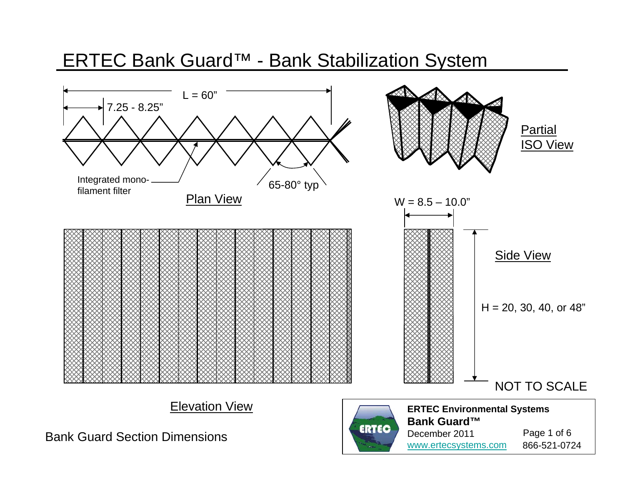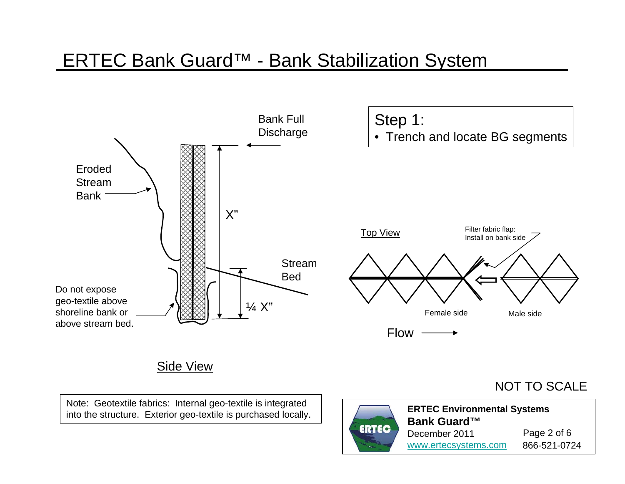

Note: Geotextile fabrics: Internal geo-textile is integrated into the structure. Exterior geo-textile is purchased locally.

### NOT TO SCALE



**ERTEC Environmental Systems Bank Guard™**December 2011www.ertecsystems.com 866-521-0724 Page 2 of 6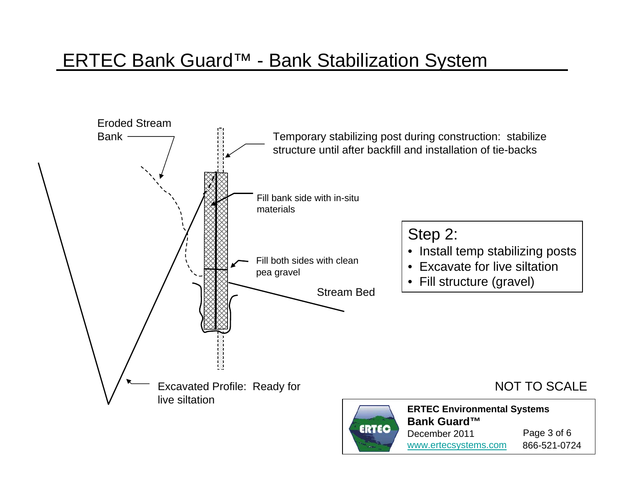

December 2011www.ertecsystems.com 866-521-0724

Page 3 of 6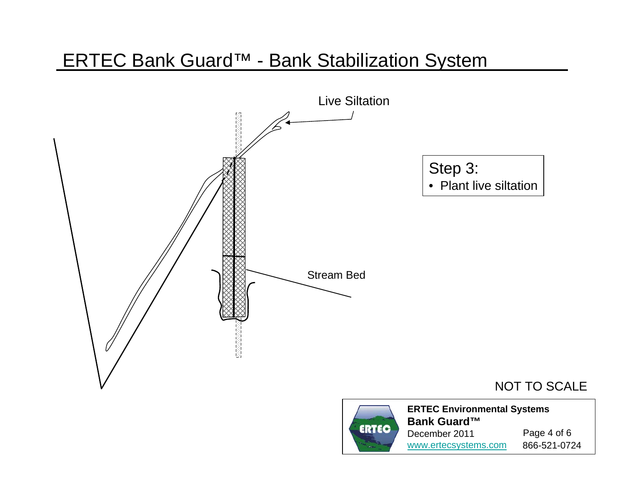

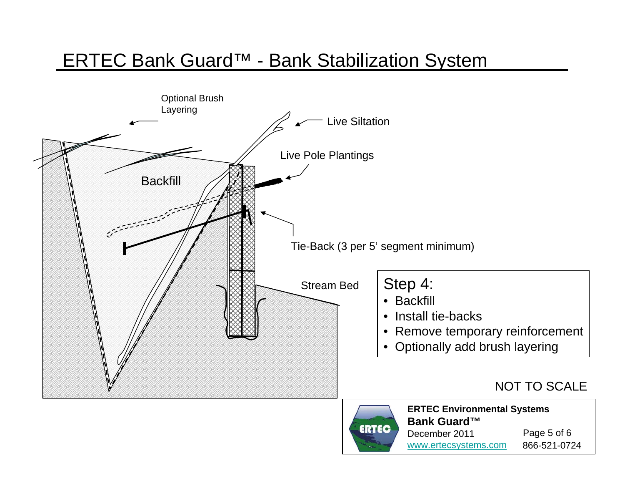



**ERTEC Environmental Systems Bank Guard™**December 2011www.ertecsystems.com 866-521-0724 Page 5 of 6